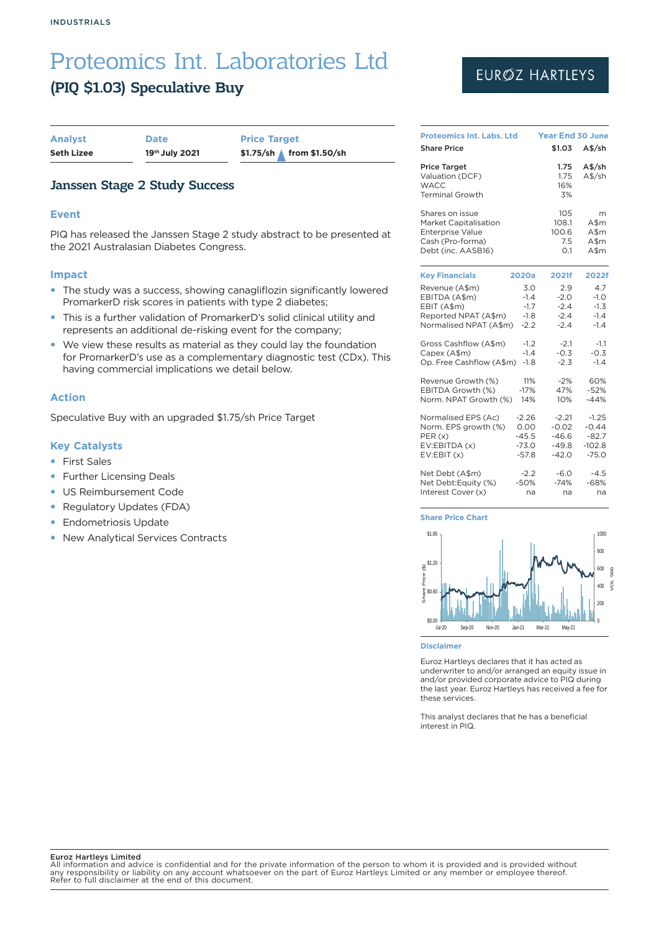### (PIQ \$1.03) Speculative Buy

| <b>Analyst</b>    | <b>Date</b>    |
|-------------------|----------------|
| <b>Seth Lizee</b> | 19th July 2021 |

**Price Target Seth Lizee 19th July 2021 \$1.75/sh from \$1.50/sh**

### Janssen Stage 2 Study Success

#### **Event**

PIQ has released the Janssen Stage 2 study abstract to be presented at the 2021 Australasian Diabetes Congress.

#### **Impact**

- The study was a success, showing canagliflozin significantly lowered PromarkerD risk scores in patients with type 2 diabetes;
- This is a further validation of PromarkerD's solid clinical utility and represents an additional de-risking event for the company;
- We view these results as material as they could lay the foundation for PromarkerD's use as a complementary diagnostic test (CDx). This having commercial implications we detail below.

#### **Action**

Speculative Buy with an upgraded \$1.75/sh Price Target

#### **Key Catalysts**

- **•** First Sales
- Further Licensing Deals
- US Reimbursement Code
- Regulatory Updates (FDA)
- Endometriosis Update
- New Analytical Services Contracts

## EURØZ HARTLEYS

| <b>Proteomics Int. Labs. Ltd</b>                                                |         | <b>Year End 30 June</b>   |                  |  |  |
|---------------------------------------------------------------------------------|---------|---------------------------|------------------|--|--|
| <b>Share Price</b>                                                              |         | \$1.03                    | $A$$ /sh         |  |  |
| <b>Price Target</b><br>Valuation (DCF)<br><b>WACC</b><br><b>Terminal Growth</b> |         | 1.75<br>1.75<br>16%<br>3% | A\$/sh<br>A\$/sh |  |  |
| Shares on issue                                                                 |         | 105                       | m                |  |  |
| <b>Market Capitalisation</b>                                                    |         | 108.1                     | A\$m             |  |  |
| <b>Enterprise Value</b>                                                         |         | 100.6                     | A\$m             |  |  |
| Cash (Pro-forma)                                                                |         | 7.5                       | A\$m             |  |  |
| Debt (inc. AASB16)                                                              |         | 0.1                       | A\$m             |  |  |
| <b>Key Financials</b><br>2020a                                                  |         | 2021f                     | 2022f            |  |  |
| Revenue (A\$m)                                                                  | 3.0     | 2.9                       | 4.7              |  |  |
| EBITDA (A\$m)                                                                   | $-1.4$  | $-2.0$                    | $-1.0$           |  |  |
| EBIT (A\$m)                                                                     | $-1.7$  | $-2.4$                    | $-1.3$           |  |  |
| Reported NPAT (A\$m)                                                            | $-1.8$  | $-2.4$                    | $-1.4$           |  |  |
| Normalised NPAT (A\$m)                                                          | $-2.2$  | $-2.4$                    | $-1.4$           |  |  |
| Gross Cashflow (A\$m)                                                           | $-1.2$  | $-2.1$                    | $-1.1$           |  |  |
| Capex (A\$m)                                                                    | $-1.4$  | $-0.3$                    | $-0.3$           |  |  |
| Op. Free Cashflow (A\$m)                                                        | $-1.8$  | $-2.3$                    | $-1.4$           |  |  |
| Revenue Growth (%)                                                              | 11%     | $-2%$                     | 60%              |  |  |
| EBITDA Growth (%)                                                               | $-17%$  | 47%                       | $-52%$           |  |  |
| Norm. NPAT Growth (%)                                                           | 14%     | 10%                       | $-44%$           |  |  |
| Normalised EPS (Ac)                                                             | $-2.26$ | $-2.21$                   | $-1.25$          |  |  |
| Norm. EPS growth (%)                                                            | 0.00    | $-0.02$                   | $-0.44$          |  |  |
| PER(x)                                                                          | $-45.5$ | $-46.6$                   | $-82.7$          |  |  |
| EV:EBITDA (x)                                                                   | $-73.0$ | $-49.8$                   | $-102.8$         |  |  |
| EV:EBIT(x)                                                                      | $-57.8$ | $-42.0$                   | $-75.0$          |  |  |
| Net Debt (A\$m)                                                                 | $-2.2$  | $-6.0$                    | $-4.5$           |  |  |
| Net Debt:Equity (%)                                                             | $-50%$  | $-74%$                    | $-68%$           |  |  |
| Interest Cover (x)                                                              | na      | na                        | na               |  |  |

#### **Share Price Chart**



#### **Disclaimer**

Euroz Hartleys declares that it has acted as underwriter to and/or arranged an equity issue in and/or provided corporate advice to PIQ during the last year. Euroz Hartleys has received a fee for these services.

This analyst declares that he has a beneficial interest in PIQ.

#### Euroz Hartleys Limited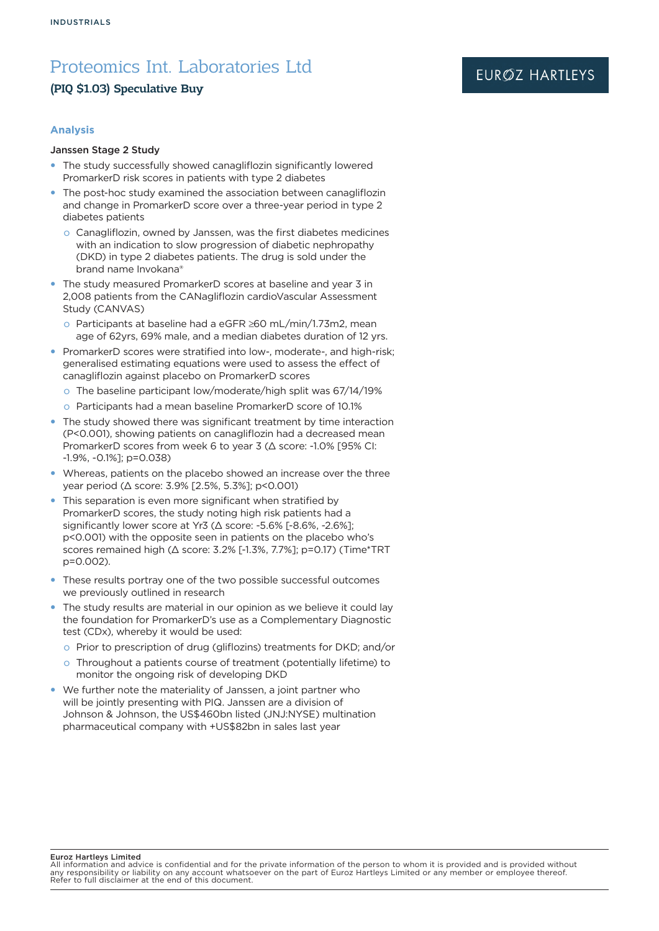### (PIQ \$1.03) Speculative Buy

#### **Analysis**

#### Janssen Stage 2 Study

- The study successfully showed canagliflozin significantly lowered PromarkerD risk scores in patients with type 2 diabetes
- The post-hoc study examined the association between canagliflozin and change in PromarkerD score over a three-year period in type 2 diabetes patients
	- o Canagliflozin, owned by Janssen, was the first diabetes medicines with an indication to slow progression of diabetic nephropathy (DKD) in type 2 diabetes patients. The drug is sold under the brand name Invokana®
- The study measured PromarkerD scores at baseline and year 3 in 2,008 patients from the CANagliflozin cardioVascular Assessment Study (CANVAS)
	- o Participants at baseline had a eGFR ≥60 mL/min/1.73m2, mean age of 62yrs, 69% male, and a median diabetes duration of 12 yrs.
- PromarkerD scores were stratified into low-, moderate-, and high-risk; generalised estimating equations were used to assess the effect of canagliflozin against placebo on PromarkerD scores
	- o The baseline participant low/moderate/high split was 67/14/19%
	- o Participants had a mean baseline PromarkerD score of 10.1%
- The study showed there was significant treatment by time interaction (P<0.001), showing patients on canagliflozin had a decreased mean PromarkerD scores from week 6 to year 3 (Δ score: -1.0% [95% CI: -1.9%, -0.1%]; p=0.038)
- Whereas, patients on the placebo showed an increase over the three year period (Δ score: 3.9% [2.5%, 5.3%]; p<0.001)
- This separation is even more significant when stratified by PromarkerD scores, the study noting high risk patients had a significantly lower score at Yr3 (Δ score: -5.6% [-8.6%, -2.6%]; p<0.001) with the opposite seen in patients on the placebo who's scores remained high (Δ score: 3.2% [-1.3%, 7.7%]; p=0.17) (Time\*TRT p=0.002).
- These results portray one of the two possible successful outcomes we previously outlined in research
- The study results are material in our opinion as we believe it could lay the foundation for PromarkerD's use as a Complementary Diagnostic test (CDx), whereby it would be used:
	- o Prior to prescription of drug (gliflozins) treatments for DKD; and/or
	- o Throughout a patients course of treatment (potentially lifetime) to monitor the ongoing risk of developing DKD
- We further note the materiality of Janssen, a joint partner who will be jointly presenting with PIQ. Janssen are a division of Johnson & Johnson, the US\$460bn listed (JNJ:NYSE) multination pharmaceutical company with +US\$82bn in sales last year

Euroz Hartleys Limited

All information and advice is confidential and for the private information of the person to whom it is provided and is provided without any responsibility or liability on any account whatsoever on the part of Euroz Hartleys Limited or any member or employee thereof. Refer to full disclaimer at the end of this document.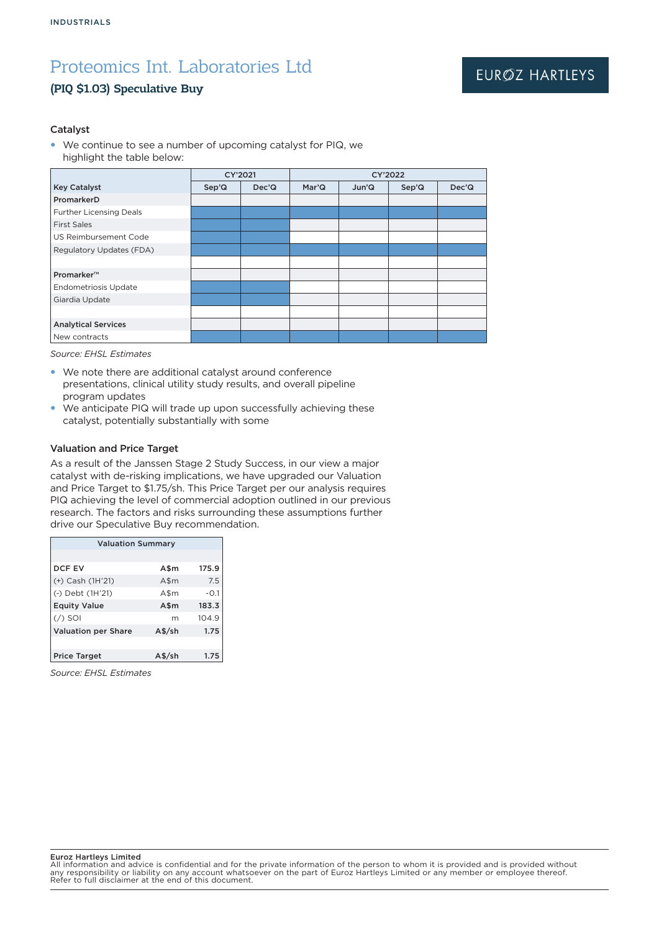### (PIQ \$1.03) Speculative Buy

### EURØZ HARTLEYS

#### Catalyst

• We continue to see a number of upcoming catalyst for PIQ, we highlight the table below:

|                                | CY'2021 |                    | CY'2022 |       |       |       |
|--------------------------------|---------|--------------------|---------|-------|-------|-------|
| <b>Key Catalyst</b>            | Sep'Q   | Dec <sup>'</sup> Q | Mar'Q   | Jun'Q | Sep'Q | Dec'Q |
| PromarkerD                     |         |                    |         |       |       |       |
| <b>Further Licensing Deals</b> |         |                    |         |       |       |       |
| <b>First Sales</b>             |         |                    |         |       |       |       |
| US Reimbursement Code          |         |                    |         |       |       |       |
| Regulatory Updates (FDA)       |         |                    |         |       |       |       |
|                                |         |                    |         |       |       |       |
| Promarker™                     |         |                    |         |       |       |       |
| <b>Endometriosis Update</b>    |         |                    |         |       |       |       |
| Giardia Update                 |         |                    |         |       |       |       |
|                                |         |                    |         |       |       |       |
| <b>Analytical Services</b>     |         |                    |         |       |       |       |
| New contracts                  |         |                    |         |       |       |       |

*Source: EHSL Estimates*

- We note there are additional catalyst around conference presentations, clinical utility study results, and overall pipeline program updates
- We anticipate PIQ will trade up upon successfully achieving these catalyst, potentially substantially with some

#### Valuation and Price Target

As a result of the Janssen Stage 2 Study Success, in our view a major catalyst with de-risking implications, we have upgraded our Valuation and Price Target to \$1.75/sh. This Price Target per our analysis requires PIQ achieving the level of commercial adoption outlined in our previous research. The factors and risks surrounding these assumptions further drive our Speculative Buy recommendation.

| <b>Valuation Summary</b>   |                    |        |  |  |
|----------------------------|--------------------|--------|--|--|
|                            |                    |        |  |  |
| <b>DCF EV</b>              | A\$m               | 175.9  |  |  |
| (+) Cash (1H'21)           | $A$ \$m            | 7.5    |  |  |
| (-) Debt (1H'21)           | A\$m               | $-0.1$ |  |  |
| <b>Equity Value</b>        | A\$m               | 183.3  |  |  |
| $($ / $)$ SOI              | m                  | 104.9  |  |  |
| <b>Valuation per Share</b> | $A\frac{4}{5}$ /sh | 1.75   |  |  |
|                            |                    |        |  |  |
| <b>Price Target</b>        | $A$$ /sh           | 1.75   |  |  |

*Source: EHSL Estimates*

#### Euroz Hartleys Limited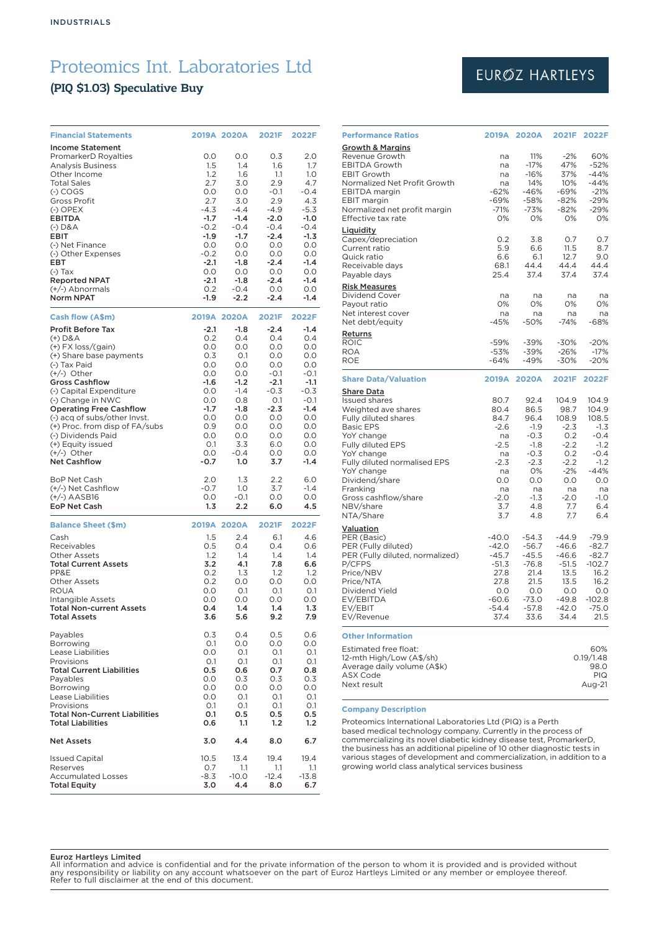### (PIQ \$1.03) Speculative Buy

| <b>Financial Statements</b>                         |                  | 2019A 2020A      | 2021F            | 2022F            |
|-----------------------------------------------------|------------------|------------------|------------------|------------------|
| <b>Income Statement</b><br>PromarkerD Royalties     | 0.0              | O.O              | 0.3              | 2.0              |
| <b>Analysis Business</b>                            | 1.5              | 1.4              | 1.6              | 1.7              |
| Other Income                                        | 1.2              | 1.6              | 1.1              | 1.0              |
| <b>Total Sales</b>                                  | 2.7<br>O.O       | 3.0              | 2.9              | 4.7<br>$-0.4$    |
| $(-)$ COGS<br>Gross Profit                          | 2.7              | 0.0<br>3.0       | $-0.1$<br>2.9    | 4.3              |
| $(-)$ OPEX                                          | $-4.3$           | $-4.4$           | $-4.9$           | $-5.3$           |
| <b>EBITDA</b>                                       | $-1.7$           | $-1.4$           | $-2.0$           | $-1.0$           |
| $(-)$ D&A<br>EBIT                                   | $-0.2$<br>$-1.9$ | $-0.4$<br>$-1.7$ | $-0.4$<br>$-2.4$ | $-0.4$<br>$-1.3$ |
| (-) Net Finance                                     | O.O              | 0.0              | 0.0              | 0.0              |
| (-) Other Expenses                                  | $-0.2$           | 0.0              | 0.0              | 0.0              |
| EBT                                                 | $-2.1$           | -1.8             | $-2.4$           | $-1.4$           |
| $(-)$ Tax<br><b>Reported NPAT</b>                   | 0.0<br>$-2.1$    | 0.0<br>-1.8      | 0.0<br>$-2.4$    | 0.0<br>$-1.4$    |
| $(+/-)$ Abnormals                                   | 0.2              | $-0.4$           | O.O              | O.O              |
| <b>Norm NPAT</b>                                    | $-1.9$           | $-2.2$           | $-2.4$           | $-1.4$           |
| Cash flow (A\$m)                                    |                  | 2019A 2020A      | 2021F            | 2022F            |
| <b>Profit Before Tax</b>                            | $-2.1$           | $-1.8$           | $-2.4$           | $-1.4$           |
| $(+)$ D&A                                           | 0.2              | 0.4              | 0.4              | 0.4              |
| $(+)$ FX loss/(gain)<br>(+) Share base payments     | 0.0<br>0.3       | O.O<br>O.1       | 0.0<br>O.O       | 0.0<br>O.O       |
| (-) Tax Paid                                        | 0.0              | 0.0              | 0.0              | 0.0              |
| $(+/-)$ Other                                       | 0.0              | 0.0              | $-0.1$           | -0.1             |
| <b>Gross Cashflow</b>                               | $-1.6$           | $-1.2$           | $-2.1$           | $-1.1$           |
| (-) Capital Expenditure                             | 0.0              | $-1.4$           | $-0.3$           | $-0.3$           |
| (-) Change in NWC<br><b>Operating Free Cashflow</b> | 0.0<br>$-1.7$    | 0.8<br>-1.8      | O.1<br>$-2.3$    | $-0.1$<br>$-1.4$ |
| (-) acq of subs/other Invst.                        | 0.0              | 0.0              | 0.0              | 0.0              |
| (+) Proc. from disp of FA/subs                      | 0.9              | 0.0              | 0.0              | 0.0              |
| (-) Dividends Paid                                  | O.O              | O.O              | O.O              | 0.0              |
| (+) Equity issued<br>$(+/-)$ Other                  | 0.1<br>0.0       | 3.3<br>$-0.4$    | 6.0<br>0.0       | 0.0<br>0.0       |
| <b>Net Cashflow</b>                                 | $-0.7$           | 1.0              | 3.7              | $-1.4$           |
| <b>BoP Net Cash</b>                                 | 2.0              | 1.3              | 2.2              | 6.0              |
| (+/-) Net Cashflow                                  | $-0.7$           | 1.0              | 3.7              | $-1.4$           |
| $(+/-)$ AASB16                                      | 0.0              | $-0.1$           | 0.0              | 0.0              |
| <b>EoP Net Cash</b>                                 | 1.3              | 2.2              | 6.0              | 4.5              |
| <b>Balance Sheet (\$m)</b>                          |                  | 2019A 2020A      | 2021F            | 2022F            |
| Cash                                                | 1.5              | 2.4              | 6.1              | 4.6              |
| Receivables<br><b>Other Assets</b>                  | 0.5<br>1.2       | 0.4<br>1.4       | 0.4<br>1.4       | 0.6<br>1.4       |
| <b>Total Current Assets</b>                         | 3.2              | 4.1              | 7.8              | 6.6              |
| PP&E                                                | 0.2              | 1.3              | 1.2              | 1.2              |
| <b>Other Assets</b>                                 | 0.2              | 0.0              | 0.0              | 0.0              |
| <b>ROUA</b><br>Intangible Assets                    | 0.0<br>0.0       | 0.1<br>O.O       | O.1<br>O.O       | 0.1<br>O.O       |
| <b>Total Non-current Assets</b>                     | 0.4              | 1.4              | 1.4              | 1.3              |
| <b>Total Assets</b>                                 | 3.6              | 5.6              | 9.2              | 7.9              |
| Payables                                            | 0.3              | 0.4              | 0.5              | 0.6              |
| Borrowing                                           | O.1              | 0.0              | 0.0              | O.O              |
| <b>Lease Liabilities</b><br>Provisions              | 0.0<br>O.1       | 0.1<br>0.1       | 0.1<br>O.1       | O.1<br>0.1       |
| <b>Total Current Liabilities</b>                    | 0.5              | 0.6              | 0.7              | 0.8              |
| Payables                                            | 0.0              | 0.3              | 0.3              | 0.3              |
| Borrowing                                           | 0.0              | 0.0              | 0.0              | O.O              |
| Lease Liabilities<br>Provisions                     | O.O<br>0.1       | O.1<br>O.1       | 0.1<br>0.1       | O.1<br>0.1       |
| <b>Total Non-Current Liabilities</b>                | 0.1              | 0.5              | 0.5              | 0.5              |
| <b>Total Liabilities</b>                            | 0.6              | 1.1              | 1.2              | 1.2              |
| <b>Net Assets</b>                                   | 3.0              | 4.4              | 8.0              | 6.7              |
| <b>Issued Capital</b>                               | 10.5             | 13.4             | 19.4<br>1.1      | 19.4             |
| Reserves<br><b>Accumulated Losses</b>               | 0.7<br>$-8.3$    | 1.1<br>$-10.0$   | $-12.4$          | 1.1<br>$-13.8$   |
| <b>Total Equity</b>                                 | 3.0              | 4.4              | 8.0              | 6.7              |

## EURØZ HARTLEYS

| <b>Performance Ratios</b>                                                                                                                                                                                                                                                                   | <b>2019A</b>                                                                                              | <b>2020A</b>                                                                                                      | 2021F                                                                                                            | 2022F                                                                                                                    |
|---------------------------------------------------------------------------------------------------------------------------------------------------------------------------------------------------------------------------------------------------------------------------------------------|-----------------------------------------------------------------------------------------------------------|-------------------------------------------------------------------------------------------------------------------|------------------------------------------------------------------------------------------------------------------|--------------------------------------------------------------------------------------------------------------------------|
| <b>Growth &amp; Margins</b><br>Revenue Growth<br><b>EBITDA Growth</b><br><b>EBIT Growth</b><br>Normalized Net Profit Growth<br><b>EBITDA</b> margin<br><b>EBIT</b> margin<br>Normalized net profit margin<br>Effective tax rate                                                             | na<br>na<br>na<br>na<br>$-62%$<br>$-69%$<br>$-71%$<br>0%                                                  | 11%<br>$-17%$<br>$-16%$<br>14%<br>-46%<br>$-58%$<br>$-73%$<br>0%                                                  | $-2%$<br>47%<br>37%<br>10%<br>-69%<br>$-82%$<br>$-82%$<br>0%                                                     | 60%<br>$-52%$<br>$-44%$<br>$-44%$<br>$-21%$<br>$-29%$<br>$-29%$<br>0%                                                    |
| Liquidity<br>Capex/depreciation<br>Current ratio<br>Quick ratio<br>Receivable days<br>Payable days<br><b>Risk Measures</b><br>Dividend Cover<br>Payout ratio                                                                                                                                | 0.2<br>5.9<br>6.6<br>68.1<br>25.4<br>na<br>0%                                                             | 3.8<br>6.6<br>6.1<br>44.4<br>37.4<br>na<br>0%                                                                     | 0.7<br>11.5<br>12.7<br>44.4<br>37.4<br>na<br>0%                                                                  | 0.7<br>8.7<br>9.0<br>44.4<br>37.4<br>na<br>0%                                                                            |
| Net interest cover                                                                                                                                                                                                                                                                          | na<br>$-45%$                                                                                              | na<br>-50%                                                                                                        | na<br>$-74%$                                                                                                     | na<br>$-68%$                                                                                                             |
| Net debt/equity<br><b>Returns</b>                                                                                                                                                                                                                                                           |                                                                                                           |                                                                                                                   |                                                                                                                  |                                                                                                                          |
| <b>ROIC</b><br><b>ROA</b><br><b>ROE</b>                                                                                                                                                                                                                                                     | $-59%$<br>$-53%$<br>$-64%$                                                                                | $-39%$<br>-39%<br>$-49%$                                                                                          | $-30%$<br>$-26%$<br>$-30%$                                                                                       | $-20%$<br>$-17%$<br>$-20%$                                                                                               |
| <b>Share Data/Valuation</b>                                                                                                                                                                                                                                                                 | <b>2019A</b>                                                                                              | <b>2020A</b>                                                                                                      | 2021F                                                                                                            | 2022F                                                                                                                    |
| <u>Share Data</u><br><b>Issued shares</b><br>Weighted ave shares<br>Fully diluted shares<br><b>Basic EPS</b><br>YoY change<br>Fully diluted EPS<br>YoY change<br>Fully diluted normalised EPS<br>YoY change<br>Dividend/share<br>Franking<br>Gross cashflow/share<br>NBV/share<br>NTA/Share | 80.7<br>80.4<br>84.7<br>$-2.6$<br>na<br>$-2.5$<br>na<br>$-2.3$<br>na<br>0.0<br>na<br>$-2.0$<br>3.7<br>3.7 | 92.4<br>86.5<br>96.4<br>$-1.9$<br>$-0.3$<br>$-1.8$<br>$-0.3$<br>$-2.3$<br>0%<br>0.0<br>na<br>$-1.3$<br>4.8<br>4.8 | 104.9<br>98.7<br>108.9<br>$-2.3$<br>0.2<br>$-2.2$<br>0.2<br>$-2.2$<br>$-2%$<br>0.0<br>na<br>$-2.0$<br>7.7<br>7.7 | 104.9<br>104.9<br>108.5<br>$-1.3$<br>$-0.4$<br>$-1.2$<br>$-0.4$<br>$-1.2$<br>$-44%$<br>0.0<br>na<br>$-1.0$<br>6.4<br>6.4 |
| Valuation<br>PER (Basic)<br>PER (Fully diluted)<br>PER (Fully diluted, normalized)<br>P/CFPS<br>Price/NBV<br>Price/NTA<br>Dividend Yield<br>EV/EBITDA<br>EV/EBIT<br>EV/Revenue                                                                                                              | $-40.0$<br>$-42.0$<br>$-45.7$<br>$-51.3$<br>27.8<br>27.8<br>0.0<br>$-60.6$<br>$-54.4$<br>37.4             | $-54.3$<br>$-56.7$<br>$-45.5$<br>$-76.8$<br>21.4<br>21.5<br>0.0<br>$-73.0$<br>-57.8<br>33.6                       | $-44.9$<br>$-46.6$<br>$-46.6$<br>$-51.5$<br>13.5<br>13.5<br>0.0<br>$-49.8$<br>$-42.0$<br>34.4                    | $-79.9$<br>$-82.7$<br>$-82.7$<br>$-102.7$<br>16.2<br>16.2<br>0.0<br>$-102.8$<br>$-75.0$<br>21.5                          |
| <b>Other Information</b><br>Estimated free float:<br>12-mth High/Low (A\$/sh)<br>Average daily volume (A\$k)<br><b>ASX Code</b><br>Next result                                                                                                                                              |                                                                                                           |                                                                                                                   |                                                                                                                  | 60%<br>0.19/1.48<br>98.0<br><b>PIQ</b><br>Aug-21                                                                         |

#### **Company Description**

Proteomics International Laboratories Ltd (PIQ) is a Perth based medical technology company. Currently in the process of commercializing its novel diabetic kidney disease test, PromarkerD, the business has an additional pipeline of 10 other diagnostic tests in various stages of development and commercialization, in addition to a growing world class analytical services business

#### Euroz Hartleys Limited